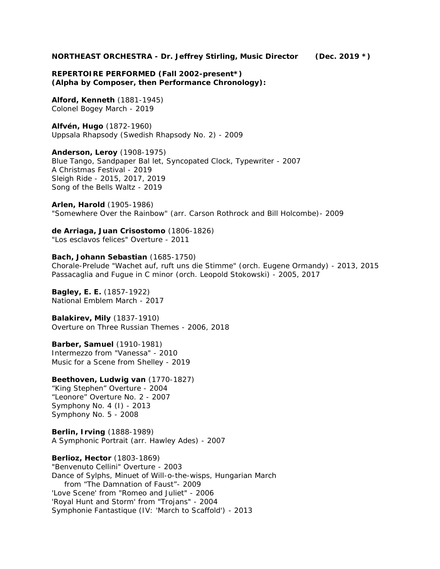**NORTHEAST ORCHESTRA - Dr. Jeffrey Stirling, Music Director (Dec. 2019 \*)**

**REPERTOIRE PERFORMED (Fall 2002-present\*) (Alpha by Composer, then Performance Chronology):**

**Alford, Kenneth** (1881-1945) Colonel Bogey March - 2019

**Alfvén, Hugo** (1872-1960) Uppsala Rhapsody (Swedish Rhapsody No. 2) - 2009

**Anderson, Leroy** (1908-1975) Blue Tango, Sandpaper Bal let, Syncopated Clock, Typewriter - 2007 A Christmas Festival - 2019 Sleigh Ride - 2015, 2017, 2019 Song of the Bells Waltz - 2019

**Arlen, Harold** (1905-1986) "Somewhere Over the Rainbow" *(arr. Carson Rothrock and Bill Holcombe)*- 2009

**de Arriaga, Juan Crisostomo** (1806-1826) "Los esclavos felices" Overture - 2011

**Bach, Johann Sebastian** (1685-1750) Chorale-Prelude "Wachet auf, ruft uns die Stimme" *(orch. Eugene Ormandy)* - 2013, 2015 Passacaglia and Fugue in C minor *(orch. Leopold Stokowski)* - 2005, 2017

**Bagley, E. E.** (1857-1922) National Emblem March - 2017

**Balakirev, Mily** (1837-1910) Overture on Three Russian Themes - 2006, 2018

**Barber, Samuel** (1910-1981) Intermezzo from "Vanessa" - 2010 Music for a Scene from Shelley - 2019

**Beethoven, Ludwig van** (1770-1827) "King Stephen" Overture - 2004 "Leonore" Overture No. 2 - 2007 Symphony No. 4 (I) - 2013 Symphony No. 5 - 2008

**Berlin, Irving** (1888-1989) A Symphonic Portrait *(arr. Hawley Ades)* - 2007

**Berlioz, Hector** (1803-1869) "Benvenuto Cellini" Overture - 2003 Dance of Sylphs, Minuet of Will-o-the-wisps, Hungarian March from "The Damnation of Faust"- 2009 'Love Scene' from "Romeo and Juliet" - 2006 'Royal Hunt and Storm' from "Trojans" - 2004 Symphonie Fantastique (IV: 'March to Scaffold') - 2013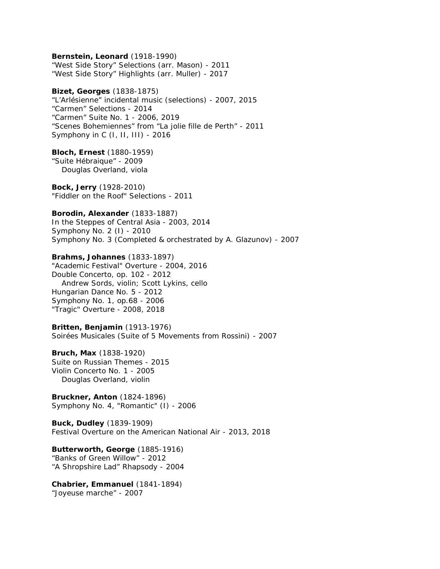**Bernstein, Leonard** (1918-1990) "West Side Story" Selections *(arr. Mason)* - 2011 "West Side Story" Highlights *(arr. Muller)* - 2017 **Bizet, Georges** (1838-1875) "L'Arlésienne" incidental music (selections) - 2007, 2015 "Carmen" Selections - 2014 "Carmen" Suite No. 1 - 2006, 2019 "Scenes Bohemiennes" from "La jolie fille de Perth" - 2011 Symphony in C (I, II, III) - 2016 **Bloch, Ernest** (1880-1959) "Suite Hébraique" - 2009 *Douglas Overland, viola* **Bock, Jerry** (1928-2010) "Fiddler on the Roof" Selections - 2011 **Borodin, Alexander** (1833-1887) In the Steppes of Central Asia - 2003, 2014 Symphony No. 2 (I) - 2010 Symphony No. 3 *(Completed & orchestrated by A. Glazunov)* - 2007 **Brahms, Johannes** (1833-1897) "Academic Festival" Overture - 2004, 2016 Double Concerto, op. 102 - 2012 *Andrew Sords, violin; Scott Lykins, cello* Hungarian Dance No. 5 - 2012 Symphony No. 1, op.68 - 2006 "Tragic" Overture - 2008, 2018 **Britten, Benjamin** (1913-1976) Soirées Musicales (Suite of 5 Movements from Rossini) - 2007 **Bruch, Max** (1838-1920) Suite on Russian Themes - 2015 Violin Concerto No. 1 - 2005 *Douglas Overland, violin* **Bruckner, Anton** (1824-1896) Symphony No. 4, "Romantic" (I) - 2006 **Buck, Dudley** (1839-1909) Festival Overture on the American National Air - 2013, 2018 **Butterworth, George** (1885-1916) "Banks of Green Willow" - 2012 "A Shropshire Lad" Rhapsody - 2004 **Chabrier, Emmanuel** (1841-1894) "Joyeuse marche" - 2007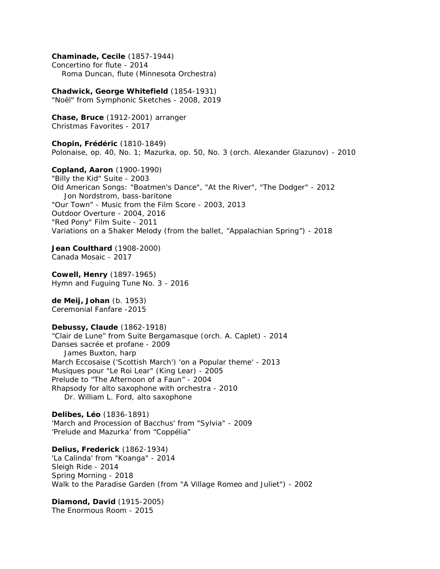**Chaminade, Cecile** (1857-1944) Concertino for flute - 2014 *Roma Duncan, flute (Minnesota Orchestra)* **Chadwick, George Whitefield** (1854-1931) "Noël" from Symphonic Sketches - 2008, 2019 **Chase, Bruce** (1912-2001) arranger Christmas Favorites - 2017 **Chopin, Frédéric** (1810-1849) Polonaise, op. 40, No. 1; Mazurka, op. 50, No. 3 *(orch. Alexander Glazunov)* - 2010 **Copland, Aaron** (1900-1990) "Billy the Kid" Suite - 2003 Old American Songs: "Boatmen's Dance", "At the River", "The Dodger" - 2012 *Jon Nordstrom, bass-baritone* "Our Town" - Music from the Film Score - 2003, 2013 Outdoor Overture - 2004, 2016 "Red Pony" Film Suite - 2011 Variations on a Shaker Melody (from the ballet, "Appalachian Spring") - 2018 **Jean Coulthard** (1908-2000) Canada Mosaic - 2017 **Cowell, Henry** (1897-1965) Hymn and Fuguing Tune No. 3 - 2016 **de Meij, Johan** (b. 1953) Ceremonial Fanfare -2015 **Debussy, Claude** (1862-1918) "Clair de Lune" from *Suite Bergamasque (orch. A. Caplet)* - 2014 Danses sacrée et profane - 2009 *James Buxton, harp* March Eccosaise ('Scottish March') 'on a Popular theme' - 2013 Musiques pour "Le Roi Lear" (King Lear) - 2005 Prelude to "The Afternoon of a Faun" - 2004 Rhapsody for alto saxophone with orchestra - 2010 *Dr. William L. Ford, alto saxophone* **Delibes, Léo** (1836-1891) 'March and Procession of Bacchus' from "Sylvia" - 2009 'Prelude and Mazurka' from "Coppélia" **Delius, Frederick** (1862-1934) 'La Calinda' from "Koanga" - 2014 Sleigh Ride - 2014 Spring Morning - 2018 Walk to the Paradise Garden (from "A Village Romeo and Juliet") - 2002 **Diamond, David** (1915-2005) The Enormous Room - 2015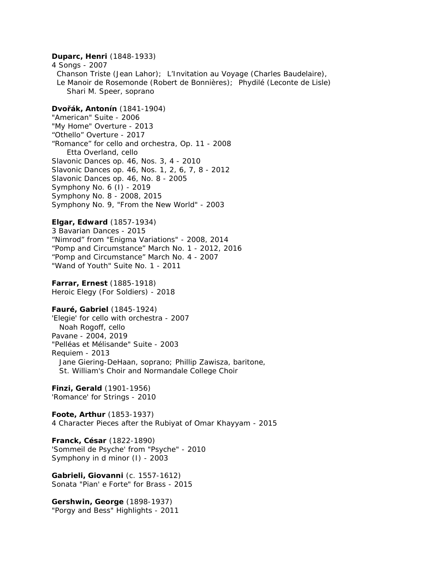**Duparc, Henri** (1848-1933) 4 Songs - 2007 Chanson Triste (Jean Lahor); L'Invitation au Voyage (Charles Baudelaire), Le Manoir de Rosemonde (Robert de Bonnières); Phydilé (Leconte de Lisle) *Shari M. Speer, soprano* **Dvo ák, Antonín** (1841-1904) "American" Suite - 2006 "My Home" Overture - 2013 "Othello" Overture - 2017 "Romance" for cello and orchestra, Op. 11 - 2008 *Etta Overland, cello* Slavonic Dances op. 46, Nos. 3, 4 - 2010 Slavonic Dances op. 46, Nos. 1, 2, 6, 7, 8 - 2012 Slavonic Dances op. 46, No. 8 - 2005 Symphony No. 6 (I) - 2019 Symphony No. 8 - 2008, 2015 Symphony No. 9, "From the New World" - 2003 **Elgar, Edward** (1857-1934) 3 Bavarian Dances - 2015 "Nimrod" from "Enigma Variations" - 2008, 2014 "Pomp and Circumstance" March No. 1 - 2012, 2016 "Pomp and Circumstance" March No. 4 - 2007 "Wand of Youth" Suite No. 1 - 2011 **Farrar, Ernest** (1885-1918) Heroic Elegy (For Soldiers) - 2018 **Fauré, Gabriel** (1845-1924) 'Elegie' for cello with orchestra - 2007 *Noah Rogoff,* cello Pavane - 2004, 2019 "Pelléas et Mélisande" Suite - 2003 Requiem - 2013 *Jane Giering-DeHaan, soprano; Phillip Zawisza, baritone, St. William's Choir and Normandale College Choir* **Finzi, Gerald** (1901-1956) 'Romance' for Strings - 2010 **Foote, Arthur** (1853-1937) 4 Character Pieces after the Rubiyat of Omar Khayyam - 2015 **Franck, César** (1822-1890) 'Sommeil de Psyche' from "Psyche" - 2010 Symphony in d minor (I) - 2003 **Gabrieli, Giovanni** (c. 1557-1612) Sonata "Pian' e Forte" for Brass - 2015 **Gershwin, George** (1898-1937) "Porgy and Bess" Highlights - 2011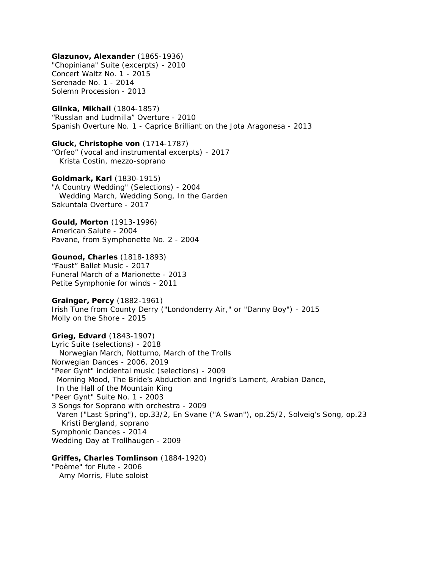**Glazunov, Alexander** (1865-1936) "Chopiniana" Suite (excerpts) - 2010 Concert Waltz No. 1 - 2015 Serenade No. 1 - 2014 Solemn Procession - 2013 **Glinka, Mikhail** (1804-1857) "Russlan and Ludmilla" Overture - 2010 Spanish Overture No. 1 - Caprice Brilliant on the Jota Aragonesa - 2013 **Gluck, Christophe von** (1714-1787) "Orfeo" (vocal and instrumental excerpts) - 2017 *Krista Costin, mezzo-soprano* **Goldmark, Karl** (1830-1915) "A Country Wedding" (Selections) - 2004 Wedding March, Wedding Song, In the Garden Sakuntala Overture - 2017 **Gould, Morton** (1913-1996) American Salute - 2004 Pavane, from Symphonette No. 2 - 2004 **Gounod, Charles** (1818-1893) "Faust" Ballet Music - 2017 Funeral March of a Marionette - 2013 Petite Symphonie for winds - 2011 **Grainger, Percy** (1882-1961) Irish Tune from County Derry ("Londonderry Air," or "Danny Boy") - 2015 Molly on the Shore - 2015 **Grieg, Edvard** (1843-1907) Lyric Suite (selections) - 2018 Norwegian March, Notturno, March of the Trolls Norwegian Dances - 2006, 2019 "Peer Gynt" incidental music (selections) - 2009 Morning Mood, The Bride's Abduction and Ingrid's Lament, Arabian Dance, In the Hall of the Mountain King "Peer Gynt" Suite No. 1 - 2003 3 Songs for Soprano with orchestra - 2009 Varen ("Last Spring"), op.33/2, En Svane ("A Swan"), op.25/2, Solveig's Song, op.23 *Kristi Bergland, soprano* Symphonic Dances - 2014 Wedding Day at Trollhaugen - 2009 **Griffes, Charles Tomlinson** (1884-1920) "Poème" for Flute - 2006 *Amy Morris, Flute soloist*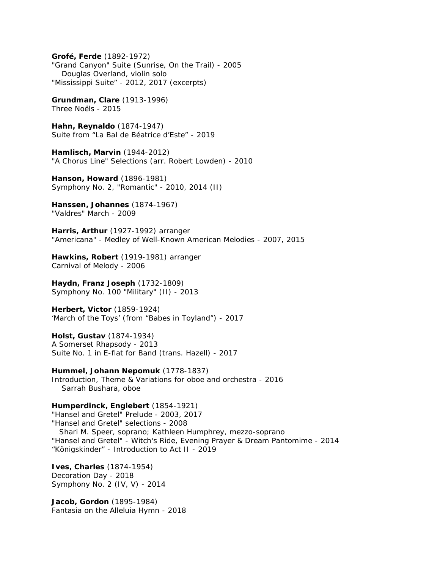**Grofé, Ferde** (1892-1972) "Grand Canyon" Suite (Sunrise, On the Trail) - 2005 *Douglas Overland, violin solo* "Mississippi Suite" - 2012, 2017 (excerpts) **Grundman, Clare** (1913-1996) Three Noëls - 2015 **Hahn, Reynaldo** (1874-1947) Suite from "La Bal de Béatrice d'Este" - 2019 **Hamlisch, Marvin** (1944-2012) "A Chorus Line" Selections *(arr. Robert Lowden)* - 2010 **Hanson, Howard** (1896-1981) Symphony No. 2, "Romantic" - 2010, 2014 (II) **Hanssen, Johannes** (1874-1967) "Valdres" March - 2009 **Harris, Arthur** (1927-1992) arranger "Americana" - Medley of Well-Known American Melodies - 2007, 2015 **Hawkins, Robert** (1919-1981) arranger Carnival of Melody - 2006 **Haydn, Franz Joseph** (1732-1809) Symphony No. 100 "Military" (II) - 2013 **Herbert, Victor** (1859-1924) 'March of the Toys' (from "Babes in Toyland") - 2017 **Holst, Gustav** (1874-1934) A Somerset Rhapsody - 2013 Suite No. 1 in E-flat for Band *(trans. Hazell)* - 2017 **Hummel, Johann Nepomuk** (1778-1837) Introduction, Theme & Variations for oboe and orchestra - 2016 *Sarrah Bushara, oboe*

**Humperdinck, Englebert** (1854-1921) "Hansel and Gretel" Prelude - 2003, 2017 "Hansel and Gretel" selections - 2008 *Shari M. Speer, soprano; Kathleen Humphrey,* mezzo-soprano "Hansel and Gretel" - Witch's Ride, Evening Prayer & Dream Pantomime - 2014 "Königskinder" - Introduction to Act II - 2019

**Ives, Charles** (1874-1954) Decoration Day - 2018 Symphony No. 2 (IV, V) - 2014

**Jacob, Gordon** (1895-1984) Fantasia on the Alleluia Hymn - 2018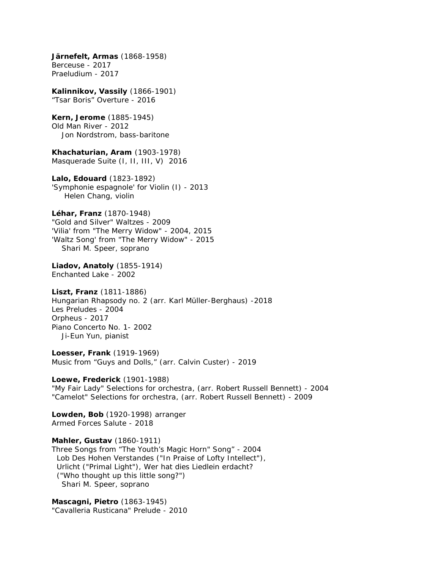**Järnefelt, Armas** (1868-1958) Berceuse - 2017 Praeludium - 2017 **Kalinnikov, Vassily** (1866-1901) "Tsar Boris" Overture - 2016 **Kern, Jerome** (1885-1945) Old Man River - 2012 *Jon Nordstrom, bass-baritone* **Khachaturian, Aram** (1903-1978) Masquerade Suite (I, II, III, V) 2016 **Lalo, Edouard** (1823-1892) 'Symphonie espagnole' for Violin (I) - 2013 *Helen Chang, violin* **Léhar, Franz** (1870-1948) "Gold and Silver" Waltzes - 2009 'Vilia' from "The Merry Widow" - 2004, 2015 'Waltz Song' from "The Merry Widow" - 2015 *Shari M. Speer, soprano* **Liadov, Anatoly** (1855-1914) Enchanted Lake - 2002 **Liszt, Franz** (1811-1886) Hungarian Rhapsody no. 2 *(arr. Karl Müller-Berghaus)* -2018 Les Preludes - 2004 Orpheus - 2017 Piano Concerto No. 1- 2002 *Ji-Eun Yun, pianist* **Loesser, Frank** (1919-1969) Music from "Guys and Dolls," (*arr. Calvin Custer)* - 2019 **Loewe, Frederick** (1901-1988) "My Fair Lady" Selections for orchestra, (*arr. Robert Russell Bennett)* - 2004 "Camelot" Selections for orchestra, (*arr. Robert Russell Bennett)* - 2009 **Lowden, Bob** (1920-1998) arranger Armed Forces Salute - 2018 **Mahler, Gustav** (1860-1911) Three Songs from "The Youth's Magic Horn" Song" - 2004 *Lob Des Hohen Verstandes* ("In Praise of Lofty Intellect"), *Urlicht* ("Primal Light"), *Wer hat dies Liedlein erdacht?* ("Who thought up this little song?") *Shari M. Speer, soprano* **Mascagni, Pietro** (1863-1945) "Cavalleria Rusticana" Prelude - 2010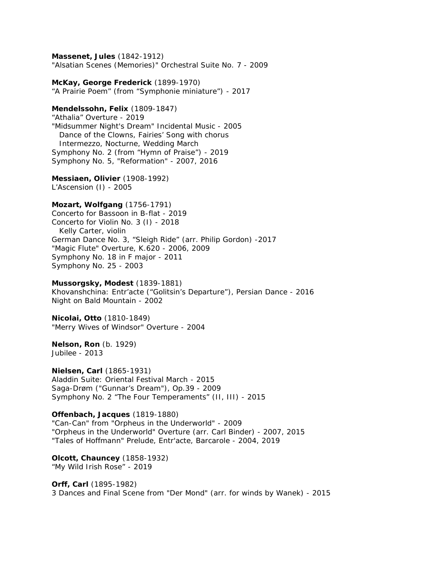**Massenet, Jules** (1842-1912) "Alsatian Scenes (Memories)" Orchestral Suite No. 7 - 2009 **McKay, George Frederick** (1899-1970) "A Prairie Poem" (from "Symphonie miniature") - 2017 **Mendelssohn, Felix** (1809-1847) "Athalia" Overture - 2019 "Midsummer Night's Dream" Incidental Music - 2005 Dance of the Clowns, Fairies' Song with chorus Intermezzo, Nocturne, Wedding March Symphony No. 2 (from "Hymn of Praise") - 2019 Symphony No. 5, "Reformation" - 2007, 2016 **Messiaen, Olivier** (1908-1992) *L'Ascension* (I) - 2005 **Mozart, Wolfgang** (1756-1791) Concerto for Bassoon in B-flat - 2019 Concerto for Violin No. 3 (I) - 2018 *Kelly Carter, violin* German Dance No. 3, "Sleigh Ride" *(arr. Philip Gordon)* -2017 "Magic Flute" Overture, K.620 - 2006, 2009 Symphony No. 18 in F major - 2011 Symphony No. 25 - 2003 **Mussorgsky, Modest** (1839-1881) Khovanshchina: Entr'acte ("Golitsin's Departure"), Persian Dance - 2016 Night on Bald Mountain - 2002 **Nicolai, Otto** (1810-1849) "Merry Wives of Windsor" Overture - 2004 **Nelson, Ron** (b. 1929) Jubilee - 2013 **Nielsen, Carl** (1865-1931) Aladdin Suite: Oriental Festival March - 2015 Saga-Drøm ("Gunnar's Dream"), Op.39 - 2009 Symphony No. 2 "The Four Temperaments" (II, III) - 2015 **Offenbach, Jacques** (1819-1880) "Can-Can" from "Orpheus in the Underworld" - 2009 "Orpheus in the Underworld" Overture *(arr. Carl Binder)* - 2007, 2015 "Tales of Hoffmann" Prelude, Entr'acte, Barcarole - 2004, 2019 **Olcott, Chauncey** (1858-1932) "My Wild Irish Rose" - 2019

**Orff, Carl** (1895-1982) 3 Dances and Final Scene from "Der Mond" *(arr. for winds by Wanek)* - 2015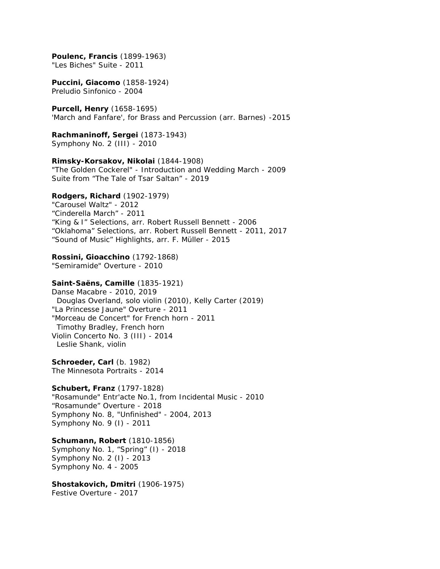**Poulenc, Francis** (1899-1963) "Les Biches" Suite - 2011 **Puccini, Giacomo** (1858-1924) Preludio Sinfonico - 2004 **Purcell, Henry** (1658-1695) 'March and Fanfare', for Brass and Percussion *(arr. Barnes)* -2015 **Rachmaninoff, Sergei** (1873-1943) Symphony No. 2 (III) - 2010 **Rimsky-Korsakov, Nikolai** (1844-1908) "The Golden Cockerel" - Introduction and Wedding March - 2009 Suite from "The Tale of Tsar Saltan" - 2019 **Rodgers, Richard** (1902-1979) "Carousel Waltz" - 2012 "Cinderella March" - 2011 "King & I" Selections, *arr. Robert Russell Bennett* - 2006 "Oklahoma" Selections, *arr. Robert Russell Bennett* - 2011, 2017 "Sound of Music" Highlights, *arr. F. Müller* - 2015 **Rossini, Gioacchino** (1792-1868) "Semiramide" Overture - 2010 **Saint-Saëns, Camille** (1835-1921) Danse Macabre - 2010, 2019 *Douglas Overland, solo violin (2010), Kelly Carter (2019)* "La Princesse Jaune" Overture - 2011 "Morceau de Concert" for French horn - 2011 *Timothy Bradley, French horn* Violin Concerto No. 3 (III) - 2014 *Leslie Shank, violin* **Schroeder, Carl** (b. 1982) The Minnesota Portraits - 2014 **Schubert, Franz** (1797-1828) "Rosamunde" Entr'acte No.1, from Incidental Music - 2010 "Rosamunde" Overture - 2018 Symphony No. 8, "Unfinished" - 2004, 2013 Symphony No. 9 (I) - 2011 **Schumann, Robert** (1810-1856) Symphony No. 1, "Spring" (I) - 2018 Symphony No. 2 (I) - 2013 Symphony No. 4 - 2005 **Shostakovich, Dmitri** (1906-1975) Festive Overture - 2017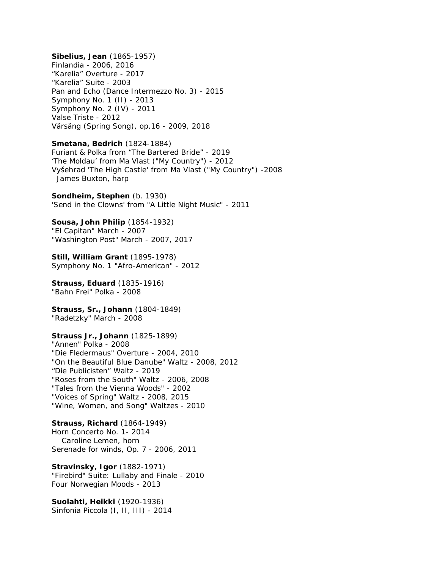**Sibelius, Jean** (1865-1957) Finlandia - 2006, 2016 "Karelia" Overture - 2017 "Karelia" Suite - 2003 Pan and Echo (Dance Intermezzo No. 3) - 2015 Symphony No. 1 (II) - 2013 Symphony No. 2 (IV) - 2011 Valse Triste - 2012 Värsäng (Spring Song), op.16 - 2009, 2018 **Smetana, Bedrich** (1824-1884) Furiant & Polka from "The Bartered Bride" - 2019 'The Moldau' from *Ma Vlast* ("My Country") - 2012 Vyšehrad 'The High Castle' from *Ma Vlast* ("My Country") -2008 *James Buxton, harp* **Sondheim, Stephen** (b. 1930) 'Send in the Clowns' from "A Little Night Music" - 2011 **Sousa, John Philip** (1854-1932) "El Capitan" March - 2007 "Washington Post" March - 2007, 2017 **Still, William Grant** (1895-1978) Symphony No. 1 "Afro-American" - 2012 **Strauss, Eduard** (1835-1916) "Bahn Frei" Polka - 2008 **Strauss, Sr., Johann** (1804-1849) "Radetzky" March - 2008 **Strauss Jr., Johann** (1825-1899) "Annen" Polka - 2008 "Die Fledermaus" Overture - 2004, 2010 "On the Beautiful Blue Danube" Waltz - 2008, 2012 "Die Publicisten" Waltz - 2019 "Roses from the South" Waltz - 2006, 2008 "Tales from the Vienna Woods" - 2002 "Voices of Spring" Waltz - 2008, 2015 "Wine, Women, and Song" Waltzes - 2010 **Strauss, Richard** (1864-1949) Horn Concerto No. 1- 2014 *Caroline Lemen, horn* Serenade for winds, Op. 7 - 2006, 2011 **Stravinsky, Igor** (1882-1971) "Firebird" Suite: Lullaby and Finale - 2010 Four Norwegian Moods - 2013 **Suolahti, Heikki** (1920-1936) Sinfonia Piccola (I, II, III) - 2014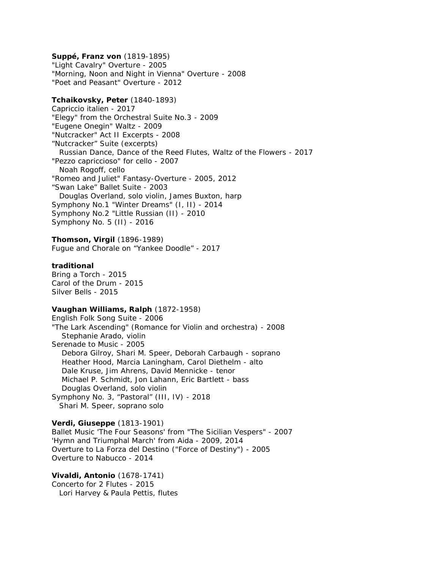**Suppé, Franz von** (1819-1895) "Light Cavalry" Overture - 2005 "Morning, Noon and Night in Vienna" Overture - 2008 "Poet and Peasant" Overture - 2012 **Tchaikovsky, Peter** (1840-1893) Capriccio italien - 2017 "Elegy" from the Orchestral Suite No.3 - 2009 "Eugene Onegin" Waltz - 2009 "Nutcracker" Act II Excerpts - 2008 "Nutcracker" Suite (excerpts) Russian Dance, Dance of the Reed Flutes, Waltz of the Flowers - 2017 "Pezzo capriccioso" for cello - 2007 *Noah Rogoff, cello* "Romeo and Juliet" Fantasy-Overture - 2005, 2012 "Swan Lake" Ballet Suite - 2003 *Douglas Overland, solo violin, James Buxton, harp* Symphony No.1 "Winter Dreams" (I, II) - 2014 Symphony No.2 "Little Russian (II) - 2010 Symphony No. 5 (II) - 2016 **Thomson, Virgil** (1896-1989) Fugue and Chorale on "Yankee Doodle" - 2017 **traditional** Bring a Torch - 2015 Carol of the Drum - 2015 Silver Bells - 2015 **Vaughan Williams, Ralph** (1872-1958) English Folk Song Suite - 2006 "The Lark Ascending" (Romance for Violin and orchestra) - 2008 *Stephanie Arado, violin* Serenade to Music - 2005 *Debora Gilroy, Shari M. Speer, Deborah Carbaugh - soprano Heather Hood, Marcia Laningham, Carol Diethelm - alto Dale Kruse, Jim Ahrens, David Mennicke - tenor Michael P. Schmidt, Jon Lahann, Eric Bartlett - bass Douglas Overland, solo violin* Symphony No. 3, "Pastoral" (III, IV) - 2018 *Shari M. Speer, soprano solo* **Verdi, Giuseppe** (1813-1901) Ballet Music 'The Four Seasons' from "The Sicilian Vespers" - 2007 'Hymn and Triumphal March' from *Aida* - 2009, 2014 Overture to *La Forza del Destino* ("Force of Destiny") - 2005 Overture to *Nabucco* - 2014 **Vivaldi, Antonio** (1678-1741) Concerto for 2 Flutes - 2015 *Lori Harvey & Paula Pettis, flutes*